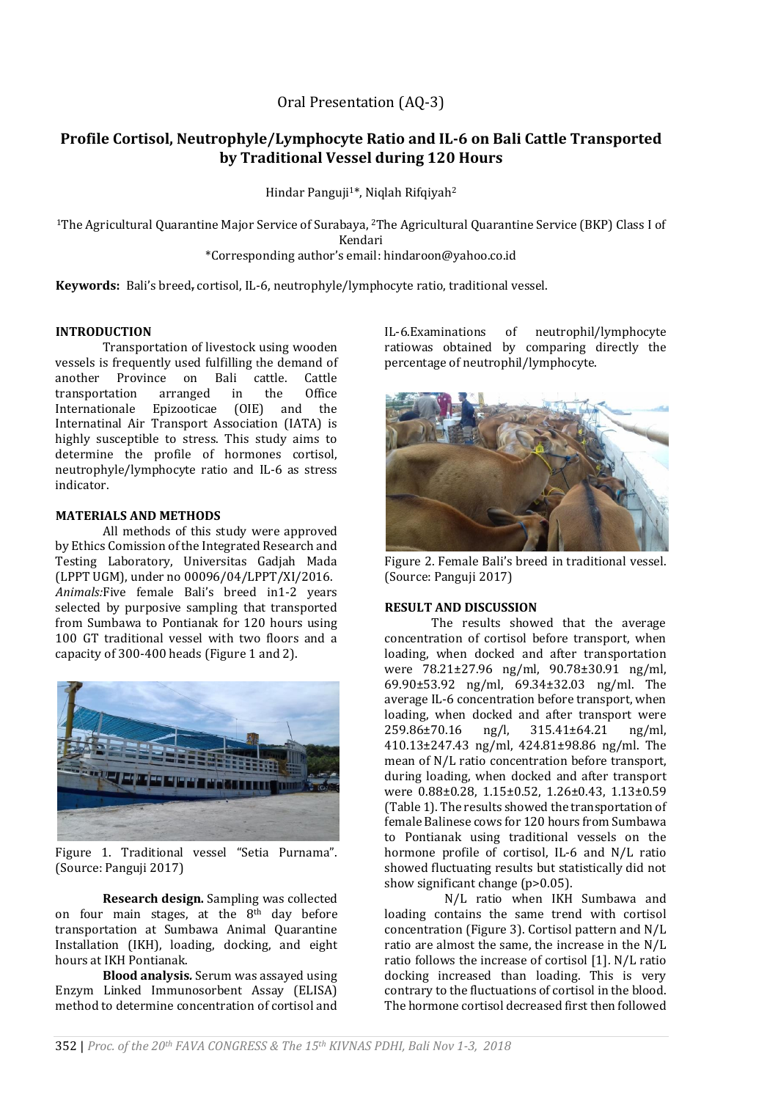y 2 yaşamın

352 | *Proc. of the 20th FAVA CONGRESS & The 15th KIVNAS PDHI, Bali Nov 1-3, 2018*

Oral Presentation (AQ-3)

# **Profile Cortisol, Neutrophyle/Lymphocyte Ratio and IL-6 on Bali Cattle Transported by Traditional Vessel during 120 Hours**

Hindar Panguji<sup>1\*</sup>, Niqlah Rifqiyah<sup>2</sup>

<sup>1</sup>The Agricultural Quarantine Major Service of Surabaya, <sup>2</sup>The Agricultural Quarantine Service (BKP) Class I of Kendari \*Corresponding author's email: hindaroon@yahoo.co.id

**Keywords:** Bali's breed, cortisol, IL-6, neutrophyle/lymphocyte ratio, traditional vessel.

## **INTRODUCTION**

Transportation of livestock using wooden vessels is frequently used fulfilling the demand of another Province on Bali cattle. Cattle transportation arranged in the Office Internationale Epizooticae (OIE) and the Internatinal Air Transport Association (IATA) is highly susceptible to stress. This study aims to determine the profile of hormones cortisol, neutrophyle/lymphocyte ratio and IL-6 as stress indicator.

## **MATERIALS AND METHODS**

All methods of this study were approved by Ethics Comission of the Integrated Research and Testing Laboratory, Universitas Gadjah Mada (LPPT UGM), under no 00096/04/LPPT/XI/2016. *Animals:*Five female Bali's breed in1-2 years selected by purposive sampling that transported from Sumbawa to Pontianak for 120 hours using 100 GT traditional vessel with two floors and a capacity of 300-400 heads (Figure 1 and 2).

Figure 1. Traditional vessel "Setia Purnama". (Source: Panguji 2017)

**Research design.** Sampling was collected on four main stages, at the 8th day before transportation at Sumbawa Animal Quarantine Installation (IKH), loading, docking, and eight hours at IKH Pontianak.

**Blood analysis***.* Serum was assayed using Enzym Linked Immunosorbent Assay (ELISA) method to determine concentration of cortisol and IL-6.Examinations of neutrophil/lymphocyte ratiowas obtained by comparing directly the percentage of neutrophil/lymphocyte.



Figure 2. Female Bali's breed in traditional vessel. (Source: Panguji 2017)

## **RESULT AND DISCUSSION**

The results showed that the average concentration of cortisol before transport, when loading, when docked and after transportation were 78.21±27.96 ng/ml, 90.78±30.91 ng/ml, 69.90±53.92 ng/ml, 69.34±32.03 ng/ml. The average IL-6 concentration before transport, when loading, when docked and after transport were 259.86±70.16 ng/l, 315.41±64.21 ng/ml, 410.13±247.43 ng/ml, 424.81±98.86 ng/ml. The mean of N/L ratio concentration before transport, during loading, when docked and after transport were 0.88±0.28, 1.15±0.52, 1.26±0.43, 1.13±0.59 (Table 1). The results showed the transportation of female Balinese cows for 120 hours from Sumbawa to Pontianak using traditional vessels on the hormone profile of cortisol, IL-6 and N/L ratio showed fluctuating results but statistically did not show significant change (p>0.05).

N/L ratio when IKH Sumbawa and loading contains the same trend with cortisol concentration (Figure 3). Cortisol pattern and N/L ratio are almost the same, the increase in the N/L ratio follows the increase of cortisol [1]. N/L ratio docking increased than loading. This is very contrary to the fluctuations of cortisol in the blood. The hormone cortisol decreased first then followed